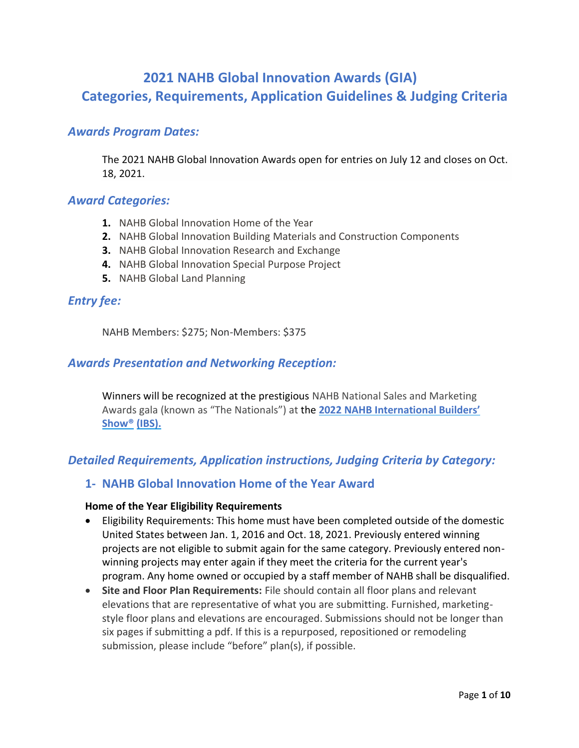# **2021 NAHB Global Innovation Awards (GIA) Categories, Requirements, Application Guidelines & Judging Criteria**

# *Awards Program Dates:*

The 2021 NAHB Global Innovation Awards open for entries on July 12 and closes on Oct. 18, 2021.

## *Award Categories:*

- **1.** NAHB Global Innovation Home of the Year
- **2.** NAHB Global Innovation Building Materials and Construction Components
- **3.** NAHB Global Innovation Research and Exchange
- **4.** NAHB Global Innovation Special Purpose Project
- **5.** NAHB Global Land Planning

## *Entry fee:*

NAHB Members: \$275; Non-Members: \$375

### *Awards Presentation and Networking Reception:*

Winners will be recognized at the prestigious NAHB National Sales and Marketing Awards gala (known as "The Nationals") at the **[2022 NAHB International Builders'](http://www.buildersshow.com/)  [Show®](http://www.buildersshow.com/) [\(IBS\).](http://www.buildersshow.com/)**

# *Detailed Requirements, Application instructions, Judging Criteria by Category:*

## **1- NAHB Global Innovation Home of the Year Award**

#### **Home of the Year Eligibility Requirements**

- Eligibility Requirements: This home must have been completed outside of the domestic United States between Jan. 1, 2016 and Oct. 18, 2021. Previously entered winning projects are not eligible to submit again for the same category. Previously entered nonwinning projects may enter again if they meet the criteria for the current year's program. Any home owned or occupied by a staff member of NAHB shall be disqualified.
- **Site and Floor Plan Requirements:** File should contain all floor plans and relevant elevations that are representative of what you are submitting. Furnished, marketingstyle floor plans and elevations are encouraged. Submissions should not be longer than six pages if submitting a pdf. If this is a repurposed, repositioned or remodeling submission, please include "before" plan(s), if possible.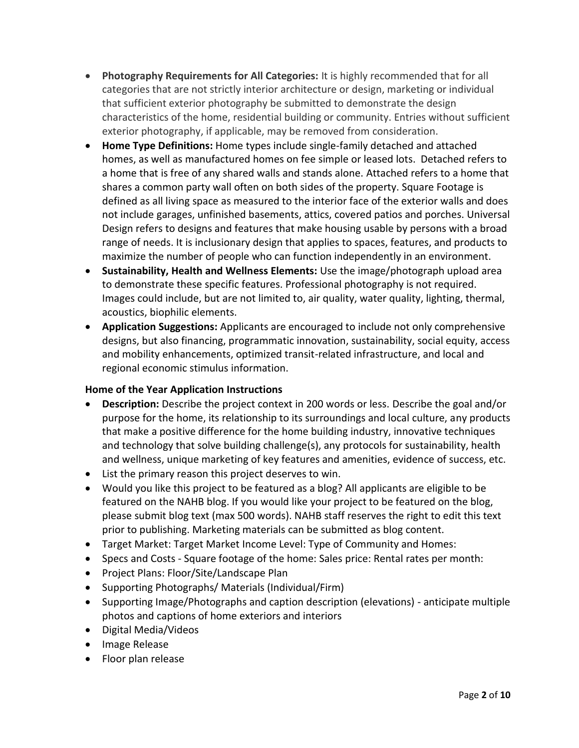- **Photography Requirements for All Categories:** It is highly recommended that for all categories that are not strictly interior architecture or design, marketing or individual that sufficient exterior photography be submitted to demonstrate the design characteristics of the home, residential building or community. Entries without sufficient exterior photography, if applicable, may be removed from consideration.
- **Home Type Definitions:** Home types include single-family detached and attached homes, as well as manufactured homes on fee simple or leased lots. Detached refers to a home that is free of any shared walls and stands alone. Attached refers to a home that shares a common party wall often on both sides of the property. Square Footage is defined as all living space as measured to the interior face of the exterior walls and does not include garages, unfinished basements, attics, covered patios and porches. Universal Design refers to designs and features that make housing usable by persons with a broad range of needs. It is inclusionary design that applies to spaces, features, and products to maximize the number of people who can function independently in an environment.
- **Sustainability, Health and Wellness Elements:** Use the image/photograph upload area to demonstrate these specific features. Professional photography is not required. Images could include, but are not limited to, air quality, water quality, lighting, thermal, acoustics, biophilic elements.
- **Application Suggestions:** Applicants are encouraged to include not only comprehensive designs, but also financing, programmatic innovation, sustainability, social equity, access and mobility enhancements, optimized transit-related infrastructure, and local and regional economic stimulus information.

## **Home of the Year Application Instructions**

- **Description:** Describe the project context in 200 words or less. Describe the goal and/or purpose for the home, its relationship to its surroundings and local culture, any products that make a positive difference for the home building industry, innovative techniques and technology that solve building challenge(s), any protocols for sustainability, health and wellness, unique marketing of key features and amenities, evidence of success, etc.
- List the primary reason this project deserves to win.
- Would you like this project to be featured as a blog? All applicants are eligible to be featured on the NAHB blog. If you would like your project to be featured on the blog, please submit blog text (max 500 words). NAHB staff reserves the right to edit this text prior to publishing. Marketing materials can be submitted as blog content.
- Target Market: Target Market Income Level: Type of Community and Homes:
- Specs and Costs Square footage of the home: Sales price: Rental rates per month:
- Project Plans: Floor/Site/Landscape Plan
- Supporting Photographs/ Materials (Individual/Firm)
- Supporting Image/Photographs and caption description (elevations) anticipate multiple photos and captions of home exteriors and interiors
- Digital Media/Videos
- Image Release
- Floor plan release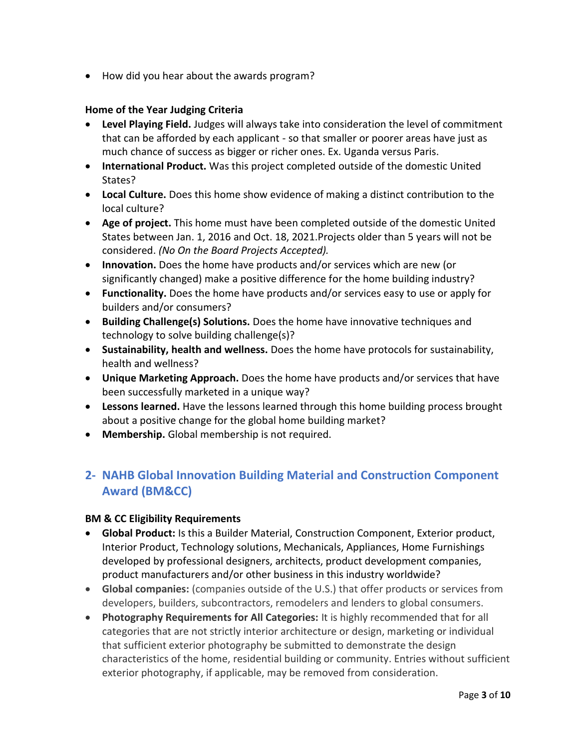• How did you hear about the awards program?

### **Home of the Year Judging Criteria**

- **Level Playing Field.** Judges will always take into consideration the level of commitment that can be afforded by each applicant - so that smaller or poorer areas have just as much chance of success as bigger or richer ones. Ex. Uganda versus Paris.
- **International Product.** Was this project completed outside of the domestic United States?
- **Local Culture.** Does this home show evidence of making a distinct contribution to the local culture?
- **Age of project.** This home must have been completed outside of the domestic United States between Jan. 1, 2016 and Oct. 18, 2021.Projects older than 5 years will not be considered. *(No On the Board Projects Accepted).*
- **Innovation.** Does the home have products and/or services which are new (or significantly changed) make a positive difference for the home building industry?
- **Functionality.** Does the home have products and/or services easy to use or apply for builders and/or consumers?
- **Building Challenge(s) Solutions.** Does the home have innovative techniques and technology to solve building challenge(s)?
- **Sustainability, health and wellness.** Does the home have protocols for sustainability, health and wellness?
- **Unique Marketing Approach.** Does the home have products and/or services that have been successfully marketed in a unique way?
- **Lessons learned.** Have the lessons learned through this home building process brought about a positive change for the global home building market?
- **Membership.** Global membership is not required.

# **2- NAHB Global Innovation Building Material and Construction Component Award (BM&CC)**

### **BM & CC Eligibility Requirements**

- **Global Product:** Is this a Builder Material, Construction Component, Exterior product, Interior Product, Technology solutions, Mechanicals, Appliances, Home Furnishings developed by professional designers, architects, product development companies, product manufacturers and/or other business in this industry worldwide?
- **Global companies:** (companies outside of the U.S.) that offer products or services from developers, builders, subcontractors, remodelers and lenders to global consumers.
- **Photography Requirements for All Categories:** It is highly recommended that for all categories that are not strictly interior architecture or design, marketing or individual that sufficient exterior photography be submitted to demonstrate the design characteristics of the home, residential building or community. Entries without sufficient exterior photography, if applicable, may be removed from consideration.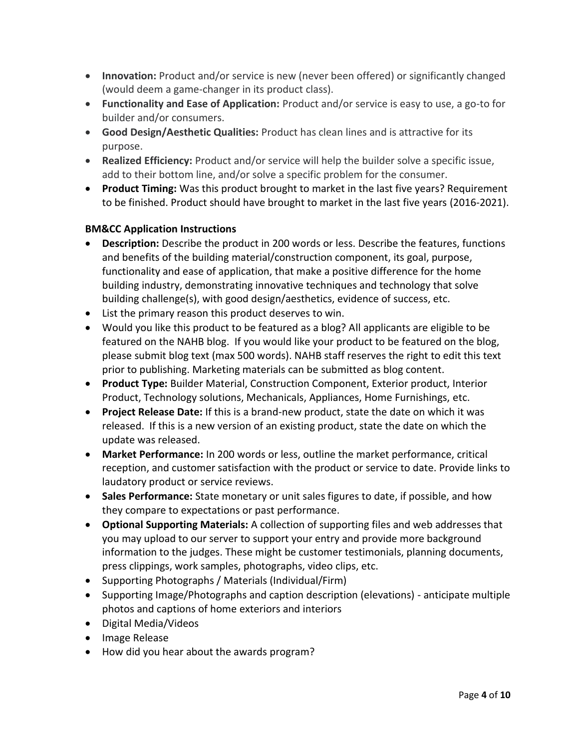- **Innovation:** Product and/or service is new (never been offered) or significantly changed (would deem a game-changer in its product class).
- **Functionality and Ease of Application:** Product and/or service is easy to use, a go-to for builder and/or consumers.
- **Good Design/Aesthetic Qualities:** Product has clean lines and is attractive for its purpose.
- **Realized Efficiency:** Product and/or service will help the builder solve a specific issue, add to their bottom line, and/or solve a specific problem for the consumer.
- **Product Timing:** Was this product brought to market in the last five years? Requirement to be finished. Product should have brought to market in the last five years (2016-2021).

## **BM&CC Application Instructions**

- **Description:** Describe the product in 200 words or less. Describe the features, functions and benefits of the building material/construction component, its goal, purpose, functionality and ease of application, that make a positive difference for the home building industry, demonstrating innovative techniques and technology that solve building challenge(s), with good design/aesthetics, evidence of success, etc.
- List the primary reason this product deserves to win.
- Would you like this product to be featured as a blog? All applicants are eligible to be featured on the NAHB blog. If you would like your product to be featured on the blog, please submit blog text (max 500 words). NAHB staff reserves the right to edit this text prior to publishing. Marketing materials can be submitted as blog content.
- **Product Type:** Builder Material, Construction Component, Exterior product, Interior Product, Technology solutions, Mechanicals, Appliances, Home Furnishings, etc.
- **Project Release Date:** If this is a brand-new product, state the date on which it was released. If this is a new version of an existing product, state the date on which the update was released.
- **Market Performance:** In 200 words or less, outline the market performance, critical reception, and customer satisfaction with the product or service to date. Provide links to laudatory product or service reviews.
- **Sales Performance:** State monetary or unit sales figures to date, if possible, and how they compare to expectations or past performance.
- **Optional Supporting Materials:** A collection of supporting files and web addresses that you may upload to our server to support your entry and provide more background information to the judges. These might be customer testimonials, planning documents, press clippings, work samples, photographs, video clips, etc.
- Supporting Photographs / Materials (Individual/Firm)
- Supporting Image/Photographs and caption description (elevations) anticipate multiple photos and captions of home exteriors and interiors
- Digital Media/Videos
- Image Release
- How did you hear about the awards program?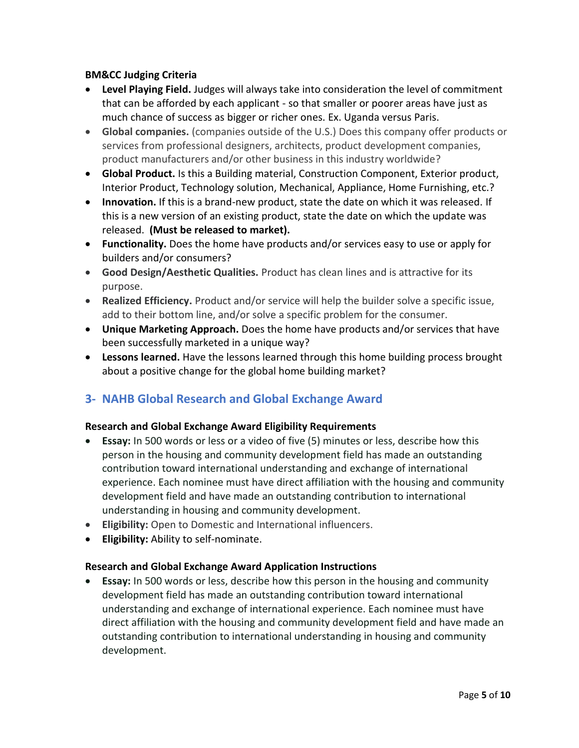### **BM&CC Judging Criteria**

- **Level Playing Field.** Judges will always take into consideration the level of commitment that can be afforded by each applicant - so that smaller or poorer areas have just as much chance of success as bigger or richer ones. Ex. Uganda versus Paris.
- **Global companies.** (companies outside of the U.S.) Does this company offer products or services from professional designers, architects, product development companies, product manufacturers and/or other business in this industry worldwide?
- **Global Product.** Is this a Building material, Construction Component, Exterior product, Interior Product, Technology solution, Mechanical, Appliance, Home Furnishing, etc.?
- **Innovation.** If this is a brand-new product, state the date on which it was released. If this is a new version of an existing product, state the date on which the update was released. **(Must be released to market).**
- **Functionality.** Does the home have products and/or services easy to use or apply for builders and/or consumers?
- **Good Design/Aesthetic Qualities.** Product has clean lines and is attractive for its purpose.
- **Realized Efficiency.** Product and/or service will help the builder solve a specific issue, add to their bottom line, and/or solve a specific problem for the consumer.
- **Unique Marketing Approach.** Does the home have products and/or services that have been successfully marketed in a unique way?
- **Lessons learned.** Have the lessons learned through this home building process brought about a positive change for the global home building market?

# **3- NAHB Global Research and Global Exchange Award**

## **Research and Global Exchange Award Eligibility Requirements**

- **Essay:** In 500 words or less or a video of five (5) minutes or less, describe how this person in the housing and community development field has made an outstanding contribution toward international understanding and exchange of international experience. Each nominee must have direct affiliation with the housing and community development field and have made an outstanding contribution to international understanding in housing and community development.
- **Eligibility:** Open to Domestic and International influencers.
- **Eligibility:** Ability to self-nominate.

## **Research and Global Exchange Award Application Instructions**

• **Essay:** In 500 words or less, describe how this person in the housing and community development field has made an outstanding contribution toward international understanding and exchange of international experience. Each nominee must have direct affiliation with the housing and community development field and have made an outstanding contribution to international understanding in housing and community development.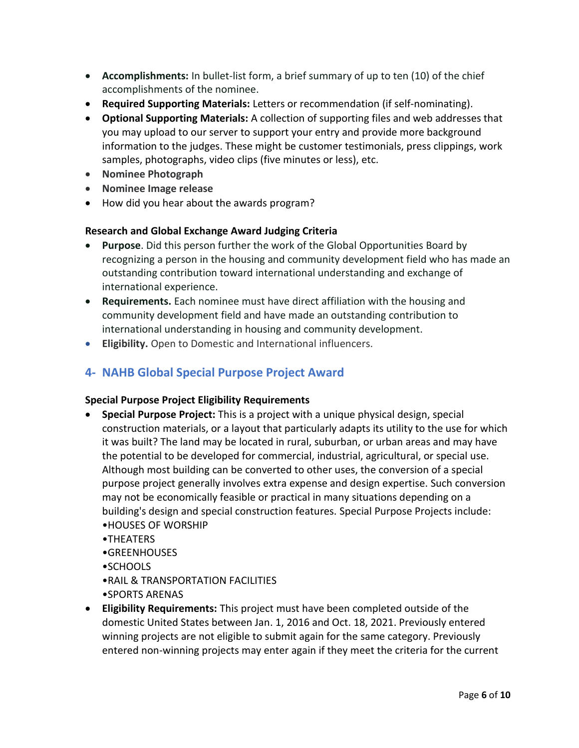- **Accomplishments:** In bullet-list form, a brief summary of up to ten (10) of the chief accomplishments of the nominee.
- **Required Supporting Materials:** Letters or recommendation (if self-nominating).
- **Optional Supporting Materials:** A collection of supporting files and web addresses that you may upload to our server to support your entry and provide more background information to the judges. These might be customer testimonials, press clippings, work samples, photographs, video clips (five minutes or less), etc.
- **Nominee Photograph**
- **Nominee Image release**
- How did you hear about the awards program?

### **Research and Global Exchange Award Judging Criteria**

- **Purpose**. Did this person further the work of the Global Opportunities Board by recognizing a person in the housing and community development field who has made an outstanding contribution toward international understanding and exchange of international experience.
- **Requirements.** Each nominee must have direct affiliation with the housing and community development field and have made an outstanding contribution to international understanding in housing and community development.
- **Eligibility.** Open to Domestic and International influencers.

# **4- NAHB Global Special Purpose Project Award**

### **Special Purpose Project Eligibility Requirements**

- **Special Purpose Project:** This is a project with a unique physical design, special construction materials, or a layout that particularly adapts its utility to the use for which it was built? The land may be located in rural, suburban, or urban areas and may have the potential to be developed for commercial, industrial, agricultural, or special use. Although most building can be converted to other uses, the conversion of a special purpose project generally involves extra expense and design expertise. Such conversion may not be economically feasible or practical in many situations depending on a building's design and special construction features. Special Purpose Projects include: •HOUSES OF WORSHIP
	- •THEATERS
	- •GREENHOUSES
	- •SCHOOLS
	- •RAIL & TRANSPORTATION FACILITIES
	- •SPORTS ARENAS
- **Eligibility Requirements:** This project must have been completed outside of the domestic United States between Jan. 1, 2016 and Oct. 18, 2021. Previously entered winning projects are not eligible to submit again for the same category. Previously entered non-winning projects may enter again if they meet the criteria for the current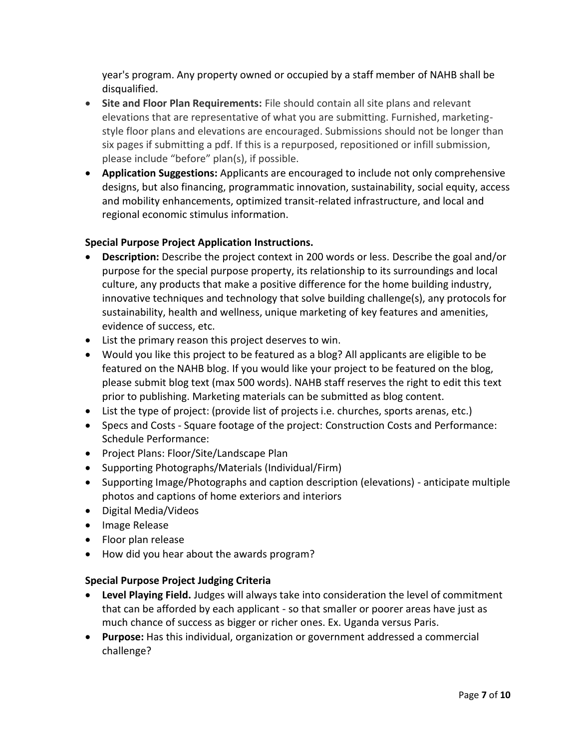year's program. Any property owned or occupied by a staff member of NAHB shall be disqualified.

- **Site and Floor Plan Requirements:** File should contain all site plans and relevant elevations that are representative of what you are submitting. Furnished, marketingstyle floor plans and elevations are encouraged. Submissions should not be longer than six pages if submitting a pdf. If this is a repurposed, repositioned or infill submission, please include "before" plan(s), if possible.
- **Application Suggestions:** Applicants are encouraged to include not only comprehensive designs, but also financing, programmatic innovation, sustainability, social equity, access and mobility enhancements, optimized transit-related infrastructure, and local and regional economic stimulus information.

### **Special Purpose Project Application Instructions.**

- **Description:** Describe the project context in 200 words or less. Describe the goal and/or purpose for the special purpose property, its relationship to its surroundings and local culture, any products that make a positive difference for the home building industry, innovative techniques and technology that solve building challenge(s), any protocols for sustainability, health and wellness, unique marketing of key features and amenities, evidence of success, etc.
- List the primary reason this project deserves to win.
- Would you like this project to be featured as a blog? All applicants are eligible to be featured on the NAHB blog. If you would like your project to be featured on the blog, please submit blog text (max 500 words). NAHB staff reserves the right to edit this text prior to publishing. Marketing materials can be submitted as blog content.
- List the type of project: (provide list of projects i.e. churches, sports arenas, etc.)
- Specs and Costs Square footage of the project: Construction Costs and Performance: Schedule Performance:
- Project Plans: Floor/Site/Landscape Plan
- Supporting Photographs/Materials (Individual/Firm)
- Supporting Image/Photographs and caption description (elevations) anticipate multiple photos and captions of home exteriors and interiors
- Digital Media/Videos
- Image Release
- Floor plan release
- How did you hear about the awards program?

### **Special Purpose Project Judging Criteria**

- **Level Playing Field.** Judges will always take into consideration the level of commitment that can be afforded by each applicant - so that smaller or poorer areas have just as much chance of success as bigger or richer ones. Ex. Uganda versus Paris.
- **Purpose:** Has this individual, organization or government addressed a commercial challenge?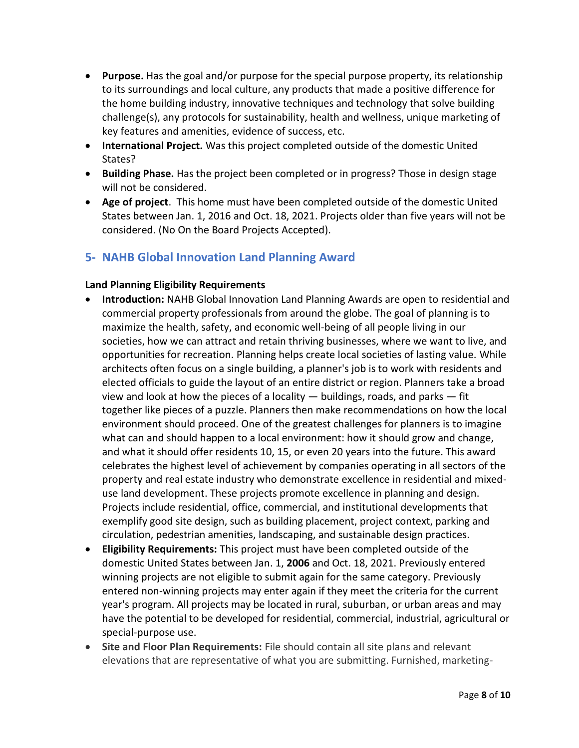- **Purpose.** Has the goal and/or purpose for the special purpose property, its relationship to its surroundings and local culture, any products that made a positive difference for the home building industry, innovative techniques and technology that solve building challenge(s), any protocols for sustainability, health and wellness, unique marketing of key features and amenities, evidence of success, etc.
- **International Project.** Was this project completed outside of the domestic United States?
- **Building Phase.** Has the project been completed or in progress? Those in design stage will not be considered.
- **Age of project**. This home must have been completed outside of the domestic United States between Jan. 1, 2016 and Oct. 18, 2021. Projects older than five years will not be considered. (No On the Board Projects Accepted).

# **5- NAHB Global Innovation Land Planning Award**

### **Land Planning Eligibility Requirements**

- **Introduction:** NAHB Global Innovation Land Planning Awards are open to residential and commercial property professionals from around the globe. The goal of planning is to maximize the health, safety, and economic well-being of all people living in our societies, how we can attract and retain thriving businesses, where we want to live, and opportunities for recreation. Planning helps create local societies of lasting value. While architects often focus on a single building, a planner's job is to work with residents and elected officials to guide the layout of an entire district or region. Planners take a broad view and look at how the pieces of a locality  $-$  buildings, roads, and parks  $-$  fit together like pieces of a puzzle. Planners then make recommendations on how the local environment should proceed. One of the greatest challenges for planners is to imagine what can and should happen to a local environment: how it should grow and change, and what it should offer residents 10, 15, or even 20 years into the future. This award celebrates the highest level of achievement by companies operating in all sectors of the property and real estate industry who demonstrate excellence in residential and mixeduse land development. These projects promote excellence in planning and design. Projects include residential, office, commercial, and institutional developments that exemplify good site design, such as building placement, project context, parking and circulation, pedestrian amenities, landscaping, and sustainable design practices.
- **Eligibility Requirements:** This project must have been completed outside of the domestic United States between Jan. 1, **2006** and Oct. 18, 2021. Previously entered winning projects are not eligible to submit again for the same category. Previously entered non-winning projects may enter again if they meet the criteria for the current year's program. All projects may be located in rural, suburban, or urban areas and may have the potential to be developed for residential, commercial, industrial, agricultural or special-purpose use.
- **Site and Floor Plan Requirements:** File should contain all site plans and relevant elevations that are representative of what you are submitting. Furnished, marketing-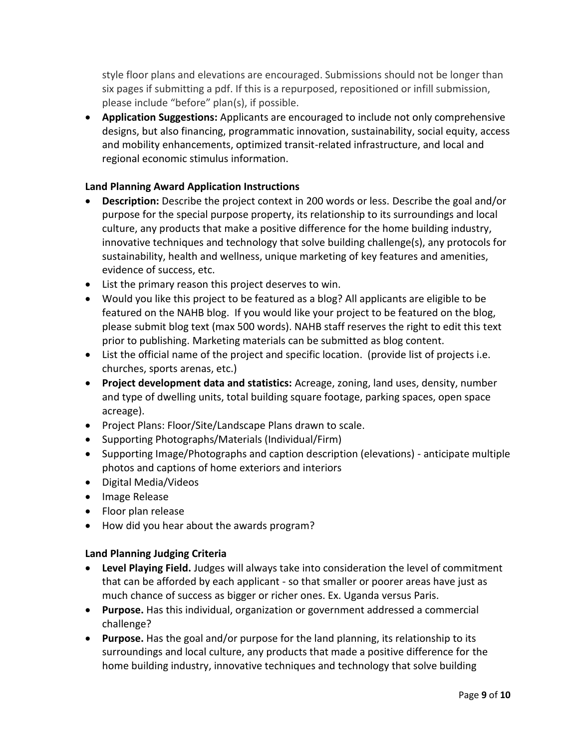style floor plans and elevations are encouraged. Submissions should not be longer than six pages if submitting a pdf. If this is a repurposed, repositioned or infill submission, please include "before" plan(s), if possible.

• **Application Suggestions:** Applicants are encouraged to include not only comprehensive designs, but also financing, programmatic innovation, sustainability, social equity, access and mobility enhancements, optimized transit-related infrastructure, and local and regional economic stimulus information.

## **Land Planning Award Application Instructions**

- **Description:** Describe the project context in 200 words or less. Describe the goal and/or purpose for the special purpose property, its relationship to its surroundings and local culture, any products that make a positive difference for the home building industry, innovative techniques and technology that solve building challenge(s), any protocols for sustainability, health and wellness, unique marketing of key features and amenities, evidence of success, etc.
- List the primary reason this project deserves to win.
- Would you like this project to be featured as a blog? All applicants are eligible to be featured on the NAHB blog. If you would like your project to be featured on the blog, please submit blog text (max 500 words). NAHB staff reserves the right to edit this text prior to publishing. Marketing materials can be submitted as blog content.
- List the official name of the project and specific location. (provide list of projects i.e. churches, sports arenas, etc.)
- **Project development data and statistics:** Acreage, zoning, land uses, density, number and type of dwelling units, total building square footage, parking spaces, open space acreage).
- Project Plans: Floor/Site/Landscape Plans drawn to scale.
- Supporting Photographs/Materials (Individual/Firm)
- Supporting Image/Photographs and caption description (elevations) anticipate multiple photos and captions of home exteriors and interiors
- Digital Media/Videos
- Image Release
- Floor plan release
- How did you hear about the awards program?

### **Land Planning Judging Criteria**

- **Level Playing Field.** Judges will always take into consideration the level of commitment that can be afforded by each applicant - so that smaller or poorer areas have just as much chance of success as bigger or richer ones. Ex. Uganda versus Paris.
- **Purpose.** Has this individual, organization or government addressed a commercial challenge?
- **Purpose.** Has the goal and/or purpose for the land planning, its relationship to its surroundings and local culture, any products that made a positive difference for the home building industry, innovative techniques and technology that solve building